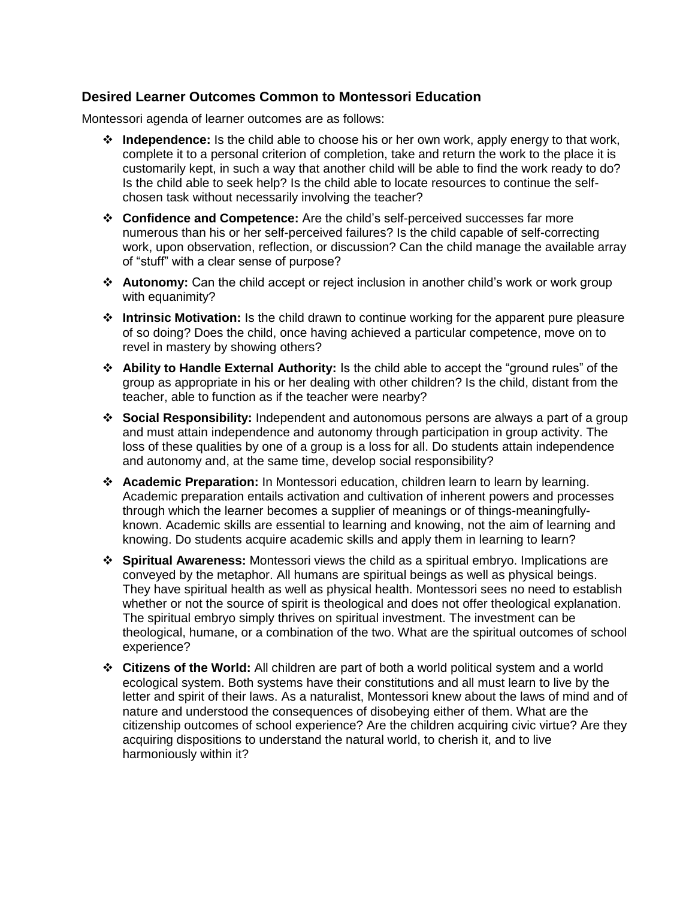## **Desired Learner Outcomes Common to Montessori Education**

Montessori agenda of learner outcomes are as follows:

- **Independence:** Is the child able to choose his or her own work, apply energy to that work, complete it to a personal criterion of completion, take and return the work to the place it is customarily kept, in such a way that another child will be able to find the work ready to do? Is the child able to seek help? Is the child able to locate resources to continue the selfchosen task without necessarily involving the teacher?
- **Confidence and Competence:** Are the child's self-perceived successes far more numerous than his or her self-perceived failures? Is the child capable of self-correcting work, upon observation, reflection, or discussion? Can the child manage the available array of "stuff" with a clear sense of purpose?
- **Autonomy:** Can the child accept or reject inclusion in another child's work or work group with equanimity?
- **Intrinsic Motivation:** Is the child drawn to continue working for the apparent pure pleasure of so doing? Does the child, once having achieved a particular competence, move on to revel in mastery by showing others?
- **Ability to Handle External Authority:** Is the child able to accept the "ground rules" of the group as appropriate in his or her dealing with other children? Is the child, distant from the teacher, able to function as if the teacher were nearby?
- **Social Responsibility:** Independent and autonomous persons are always a part of a group and must attain independence and autonomy through participation in group activity. The loss of these qualities by one of a group is a loss for all. Do students attain independence and autonomy and, at the same time, develop social responsibility?
- **Academic Preparation:** In Montessori education, children learn to learn by learning. Academic preparation entails activation and cultivation of inherent powers and processes through which the learner becomes a supplier of meanings or of things-meaningfullyknown. Academic skills are essential to learning and knowing, not the aim of learning and knowing. Do students acquire academic skills and apply them in learning to learn?
- **Spiritual Awareness:** Montessori views the child as a spiritual embryo. Implications are conveyed by the metaphor. All humans are spiritual beings as well as physical beings. They have spiritual health as well as physical health. Montessori sees no need to establish whether or not the source of spirit is theological and does not offer theological explanation. The spiritual embryo simply thrives on spiritual investment. The investment can be theological, humane, or a combination of the two. What are the spiritual outcomes of school experience?
- **Citizens of the World:** All children are part of both a world political system and a world ecological system. Both systems have their constitutions and all must learn to live by the letter and spirit of their laws. As a naturalist, Montessori knew about the laws of mind and of nature and understood the consequences of disobeying either of them. What are the citizenship outcomes of school experience? Are the children acquiring civic virtue? Are they acquiring dispositions to understand the natural world, to cherish it, and to live harmoniously within it?